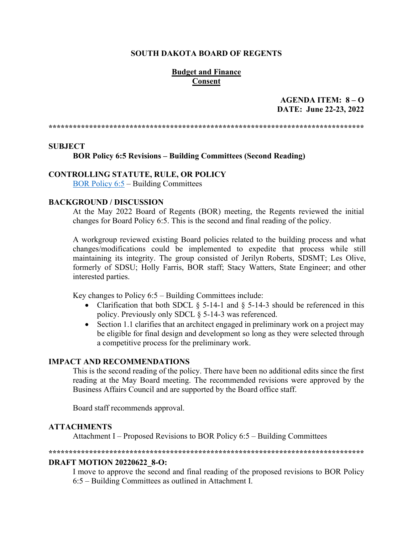## **SOUTH DAKOTA BOARD OF REGENTS**

## **Budget and Finance Consent**

## **AGENDA ITEM: 8 – O DATE: June 22-23, 2022**

**\*\*\*\*\*\*\*\*\*\*\*\*\*\*\*\*\*\*\*\*\*\*\*\*\*\*\*\*\*\*\*\*\*\*\*\*\*\*\*\*\*\*\*\*\*\*\*\*\*\*\*\*\*\*\*\*\*\*\*\*\*\*\*\*\*\*\*\*\*\*\*\*\*\*\*\*\*\***

### **SUBJECT**

**BOR Policy 6:5 Revisions – Building Committees (Second Reading)**

## **CONTROLLING STATUTE, RULE, OR POLICY**

[BOR Policy 6:5](https://www.sdbor.edu/policy/documents/6-5.pdf) – Building Committees

### **BACKGROUND / DISCUSSION**

At the May 2022 Board of Regents (BOR) meeting, the Regents reviewed the initial changes for Board Policy 6:5. This is the second and final reading of the policy.

A workgroup reviewed existing Board policies related to the building process and what changes/modifications could be implemented to expedite that process while still maintaining its integrity. The group consisted of Jerilyn Roberts, SDSMT; Les Olive, formerly of SDSU; Holly Farris, BOR staff; Stacy Watters, State Engineer; and other interested parties.

Key changes to Policy  $6:5$  – Building Committees include:

- Clarification that both SDCL  $\S$  5-14-1 and  $\S$  5-14-3 should be referenced in this policy. Previously only SDCL § 5-14-3 was referenced.
- Section 1.1 clarifies that an architect engaged in preliminary work on a project may be eligible for final design and development so long as they were selected through a competitive process for the preliminary work.

### **IMPACT AND RECOMMENDATIONS**

This is the second reading of the policy. There have been no additional edits since the first reading at the May Board meeting. The recommended revisions were approved by the Business Affairs Council and are supported by the Board office staff.

Board staff recommends approval.

## **ATTACHMENTS**

Attachment I – Proposed Revisions to BOR Policy 6:5 – Building Committees

#### **\*\*\*\*\*\*\*\*\*\*\*\*\*\*\*\*\*\*\*\*\*\*\*\*\*\*\*\*\*\*\*\*\*\*\*\*\*\*\*\*\*\*\*\*\*\*\*\*\*\*\*\*\*\*\*\*\*\*\*\*\*\*\*\*\*\*\*\*\*\*\*\*\*\*\*\*\*\***

#### **DRAFT MOTION 20220622\_8-O:**

I move to approve the second and final reading of the proposed revisions to BOR Policy 6:5 – Building Committees as outlined in Attachment I.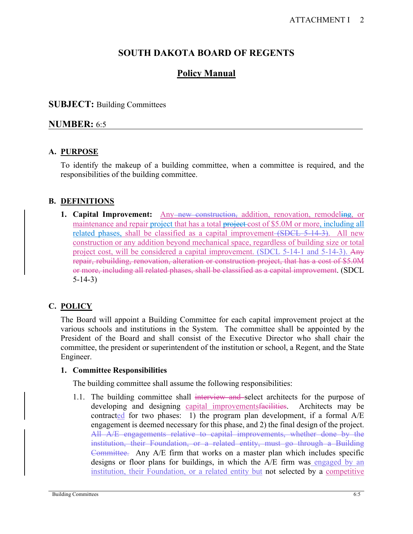# **SOUTH DAKOTA BOARD OF REGENTS**

# **Policy Manual**

# **SUBJECT:** Building Committees

# **NUMBER:** 6:5

# **A. PURPOSE**

To identify the makeup of a building committee, when a committee is required, and the responsibilities of the building committee.

# **B. DEFINITIONS**

**1. Capital Improvement:** Any new construction, addition, renovation, remodeling, or maintenance and repair project that has a total project cost of \$5.0M or more, including all related phases, shall be classified as a capital improvement (SDCL 5-14-3). All new construction or any addition beyond mechanical space, regardless of building size or total project cost, will be considered a capital improvement. (SDCL 5-14-1 and 5-14-3). Any repair, rebuilding, renovation, alteration or construction project, that has a cost of \$5.0M or more, including all related phases, shall be classified as a capital improvement. (SDCL 5-14-3)

# **C. POLICY**

The Board will appoint a Building Committee for each capital improvement project at the various schools and institutions in the System. The committee shall be appointed by the President of the Board and shall consist of the Executive Director who shall chair the committee, the president or superintendent of the institution or school, a Regent, and the State Engineer.

## **1. Committee Responsibilities**

The building committee shall assume the following responsibilities:

1.1. The building committee shall interview and select architects for the purpose of developing and designing capital improvements facilities. Architects may be contracted for two phases: 1) the program plan development, if a formal A/E engagement is deemed necessary for this phase, and 2) the final design of the project. All A/E engagements relative to capital improvements, whether done by the institution, their Foundation, or a related entity, must go through a Building Committee. Any A/E firm that works on a master plan which includes specific designs or floor plans for buildings, in which the A/E firm was engaged by an institution, their Foundation, or a related entity but not selected by a competitive